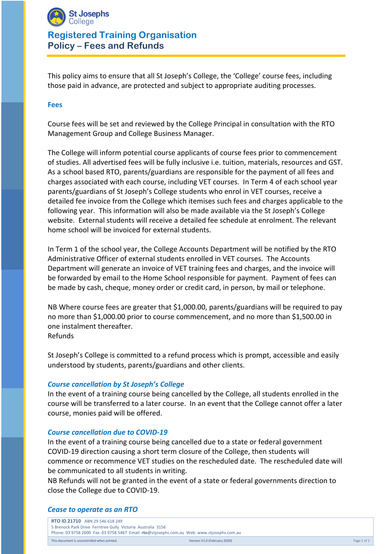

# **Registered Training Organisation Policy – Fees and Refunds**

This policy aims to ensure that all St Joseph's College, the 'College' course fees, including those paid in advance, are protected and subject to appropriate auditing processes.

#### **Fees**

Course fees will be set and reviewed by the College Principal in consultation with the RTO Management Group and College Business Manager.

The College will inform potential course applicants of course fees prior to commencement of studies. All advertised fees will be fully inclusive i.e. tuition, materials, resources and GST. As a school based RTO, parents/guardians are responsible for the payment of all fees and charges associated with each course, including VET courses. In Term 4 of each school year parents/guardians of St Joseph's College students who enrol in VET courses, receive a detailed fee invoice from the College which itemises such fees and charges applicable to the following year. This information will also be made available via the St Joseph's College website. External students will receive a detailed fee schedule at enrolment. The relevant home school will be invoiced for external students.

In Term 1 of the school year, the College Accounts Department will be notified by the RTO Administrative Officer of external students enrolled in VET courses. The Accounts Department will generate an invoice of VET training fees and charges, and the invoice will be forwarded by email to the Home School responsible for payment. Payment of fees can be made by cash, cheque, money order or credit card, in person, by mail or telephone.

NB Where course fees are greater that \$1,000.00, parents/guardians will be required to pay no more than \$1,000.00 prior to course commencement, and no more than \$1,500.00 in one instalment thereafter. Refunds

St Joseph's College is committed to a refund process which is prompt, accessible and easily understood by students, parents/guardians and other clients.

### *Course cancellation by St Joseph's College*

In the event of a training course being cancelled by the College, all students enrolled in the course will be transferred to a later course. In an event that the College cannot offer a later course, monies paid will be offered.

#### *Course cancellation due to COVID-19*

In the event of a training course being cancelled due to a state or federal government COVID-19 direction causing a short term closure of the College, then students will commence or recommence VET studies on the rescheduled date. The rescheduled date will be communicated to all students in writing.

NB Refunds will not be granted in the event of a state or federal governments direction to close the College due to COVID-19.

#### *Cease to operate as an RTO*

| RTO ID 21710 ABN 29 546 618 249                                                             |                              |             |
|---------------------------------------------------------------------------------------------|------------------------------|-------------|
| 5 Brenock Park Drive Ferntree Gully Victoria Australia 3156                                 |                              |             |
| Phone: 03 9758 2000 Fax: 03 9758 5467 Email: rto@stjosephs.com.au Web: www.stjosephs.com.au |                              |             |
| This document is uncontrolled when printed.                                                 | Version V1.0 (February 2020) | Page 1 of 2 |